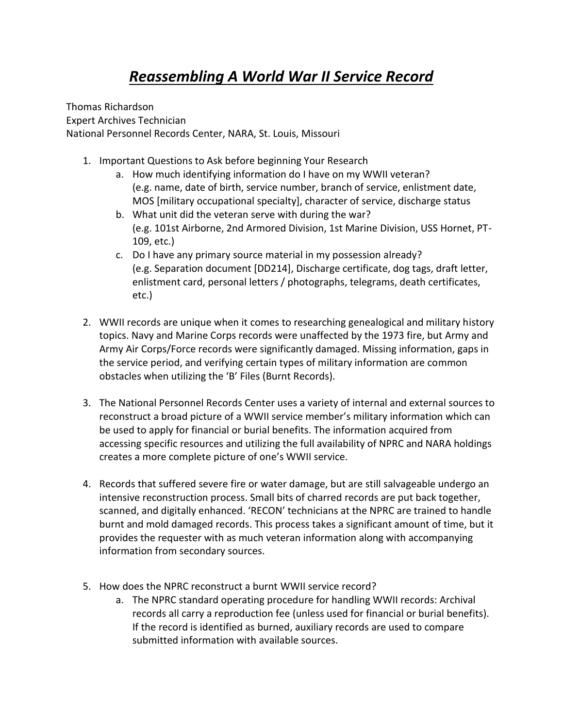Thomas Richardson Expert Archives Technician National Personnel Records Center, NARA, St. Louis, Missouri

- 1. Important Questions to Ask before beginning Your Research
	- a. How much identifying information do I have on my WWII veteran? (e.g. name, date of birth, service number, branch of service, enlistment date, MOS [military occupational specialty], character of service, discharge status
	- b. What unit did the veteran serve with during the war? (e.g. 101st Airborne, 2nd Armored Division, 1st Marine Division, USS Hornet, PT-109, etc.)
	- c. Do I have any primary source material in my possession already? (e.g. Separation document [DD214], Discharge certificate, dog tags, draft letter, enlistment card, personal letters / photographs, telegrams, death certificates, etc.)
- 2. WWII records are unique when it comes to researching genealogical and military history topics. Navy and Marine Corps records were unaffected by the 1973 fire, but Army and Army Air Corps/Force records were significantly damaged. Missing information, gaps in the service period, and verifying certain types of military information are common obstacles when utilizing the 'B' Files (Burnt Records).
- 3. The National Personnel Records Center uses a variety of internal and external sources to reconstruct a broad picture of a WWII service member's military information which can be used to apply for financial or burial benefits. The information acquired from accessing specific resources and utilizing the full availability of NPRC and NARA holdings creates a more complete picture of one's WWII service.
- 4. Records that suffered severe fire or water damage, but are still salvageable undergo an intensive reconstruction process. Small bits of charred records are put back together, scanned, and digitally enhanced. 'RECON' technicians at the NPRC are trained to handle burnt and mold damaged records. This process takes a significant amount of time, but it provides the requester with as much veteran information along with accompanying information from secondary sources.
- 5. How does the NPRC reconstruct a burnt WWII service record?
	- a. The NPRC standard operating procedure for handling WWII records: Archival records all carry a reproduction fee (unless used for financial or burial benefits). If the record is identified as burned, auxiliary records are used to compare submitted information with available sources.